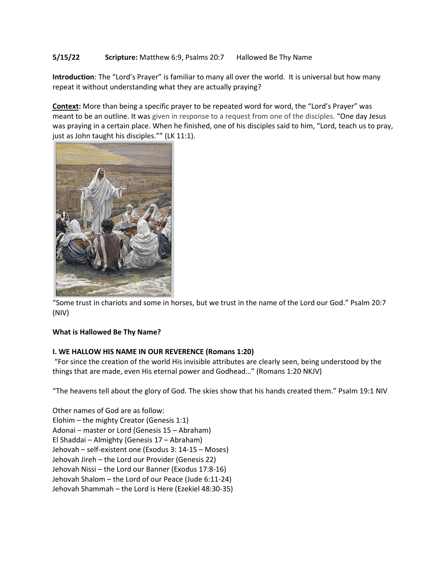# **5/15/22 Scripture:** Matthew 6:9, Psalms 20:7 Hallowed Be Thy Name

**Introduction**: The "Lord's Prayer" is familiar to many all over the world. It is universal but how many repeat it without understanding what they are actually praying?

**Context:** More than being a specific prayer to be repeated word for word, the "Lord's Prayer" was meant to be an outline. It was given in response to a request from one of the disciples. "One day Jesus was praying in a certain place. When he finished, one of his disciples said to him, "Lord, teach us to pray, just as John taught his disciples."" (LK 11:1).



"Some trust in chariots and some in horses, but we trust in the name of the Lord our God." Psalm 20:7 (NIV)

### **What is Hallowed Be Thy Name?**

### **I. WE HALLOW HIS NAME IN OUR REVERENCE (Romans 1:20)**

"For since the creation of the world His invisible attributes are clearly seen, being understood by the things that are made, even His eternal power and Godhead…" (Romans 1:20 NKJV)

"The heavens tell about the glory of God. The skies show that his hands created them." Psalm 19:1 NIV

Other names of God are as follow: Elohim – the mighty Creator (Genesis 1:1) Adonai – master or Lord (Genesis 15 – Abraham) El Shaddai – Almighty (Genesis 17 – Abraham) Jehovah – self-existent one (Exodus 3: 14-15 – Moses) Jehovah Jireh – the Lord our Provider (Genesis 22) Jehovah Nissi – the Lord our Banner (Exodus 17:8-16) Jehovah Shalom – the Lord of our Peace (Jude 6:11-24) Jehovah Shammah – the Lord is Here (Ezekiel 48:30-35)